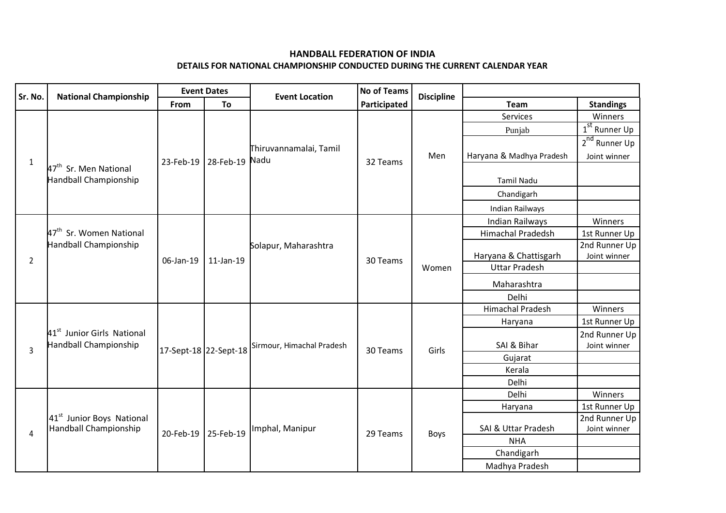## **HANDBALL FEDERATION OF INDIA**

## **DETAILS FOR NATIONAL CHAMPIONSHIP CONDUCTED DURING THE CURRENT CALENDAR YEAR**

| Sr. No.        | <b>National Championship</b>                                    | <b>Event Dates</b>    |                | <b>Event Location</b>     | <b>No of Teams</b> |                   |                          |                           |
|----------------|-----------------------------------------------------------------|-----------------------|----------------|---------------------------|--------------------|-------------------|--------------------------|---------------------------|
|                |                                                                 | From                  | To             |                           | Participated       | <b>Discipline</b> | Team                     | <b>Standings</b>          |
| $\mathbf{1}$   | 47 <sup>th</sup> Sr. Men National<br>Handball Championship      | 23-Feb-19             | 28-Feb-19 Nadu | Thiruvannamalai, Tamil    | 32 Teams           | Men               | Services                 | Winners                   |
|                |                                                                 |                       |                |                           |                    |                   | Punjab                   | $1st$ Runner Up           |
|                |                                                                 |                       |                |                           |                    |                   |                          | 2 <sup>nd</sup> Runner Up |
|                |                                                                 |                       |                |                           |                    |                   | Haryana & Madhya Pradesh | Joint winner              |
|                |                                                                 |                       |                |                           |                    |                   |                          |                           |
|                |                                                                 |                       |                |                           |                    |                   | <b>Tamil Nadu</b>        |                           |
|                |                                                                 |                       |                |                           |                    |                   | Chandigarh               |                           |
|                |                                                                 |                       |                |                           |                    |                   | Indian Railways          |                           |
| $\overline{2}$ | 47 <sup>th</sup> Sr. Women National<br>Handball Championship    | 06-Jan-19             | 11-Jan-19      | Solapur, Maharashtra      | 30 Teams           | Women             | <b>Indian Railways</b>   | Winners                   |
|                |                                                                 |                       |                |                           |                    |                   | <b>Himachal Pradedsh</b> | 1st Runner Up             |
|                |                                                                 |                       |                |                           |                    |                   |                          | 2nd Runner Up             |
|                |                                                                 |                       |                |                           |                    |                   | Haryana & Chattisgarh    | Joint winner              |
|                |                                                                 |                       |                |                           |                    |                   | <b>Uttar Pradesh</b>     |                           |
|                |                                                                 |                       |                |                           |                    |                   | Maharashtra              |                           |
|                |                                                                 |                       |                |                           |                    |                   | Delhi                    |                           |
|                | 41 <sup>st</sup> Junior Girls National<br>Handball Championship | 17-Sept-18 22-Sept-18 |                | Sirmour, Himachal Pradesh | 30 Teams           | Girls             | <b>Himachal Pradesh</b>  | Winners                   |
|                |                                                                 |                       |                |                           |                    |                   | Haryana                  | 1st Runner Up             |
|                |                                                                 |                       |                |                           |                    |                   |                          | 2nd Runner Up             |
| 3              |                                                                 |                       |                |                           |                    |                   | SAI & Bihar              | Joint winner              |
|                |                                                                 |                       |                |                           |                    |                   | Gujarat                  |                           |
|                |                                                                 |                       |                |                           |                    |                   | Kerala                   |                           |
|                |                                                                 |                       |                |                           |                    |                   | Delhi                    |                           |
| 4              | 41 <sup>st</sup> Junior Boys National<br>Handball Championship  | 20-Feb-19             | 25-Feb-19      | Imphal, Manipur           | 29 Teams           | <b>Boys</b>       | Delhi                    | Winners                   |
|                |                                                                 |                       |                |                           |                    |                   | Haryana                  | 1st Runner Up             |
|                |                                                                 |                       |                |                           |                    |                   |                          | 2nd Runner Up             |
|                |                                                                 |                       |                |                           |                    |                   | SAI & Uttar Pradesh      | Joint winner              |
|                |                                                                 |                       |                |                           |                    |                   | <b>NHA</b>               |                           |
|                |                                                                 |                       |                |                           |                    |                   | Chandigarh               |                           |
|                |                                                                 |                       |                |                           |                    |                   | Madhya Pradesh           |                           |